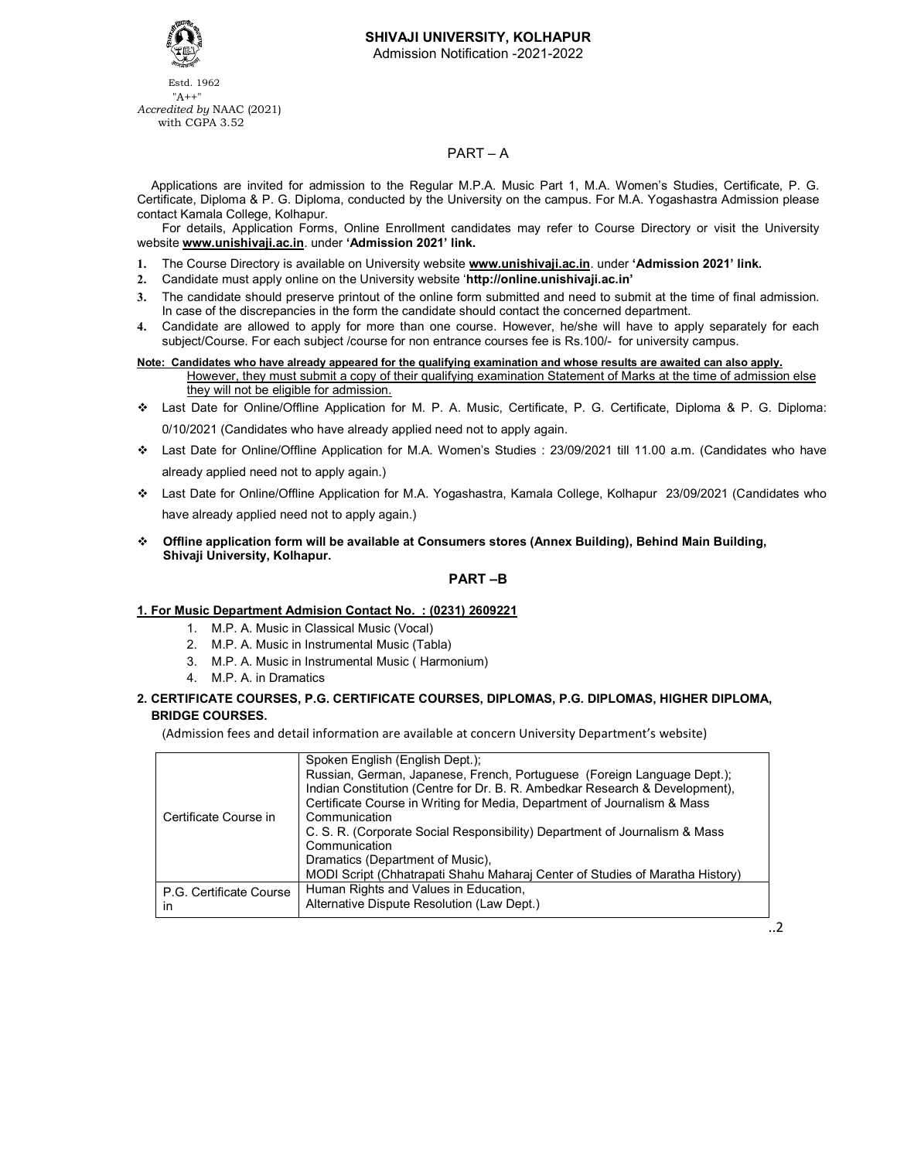

# **SHIVAJI UNIVERSITY, KOLHAPUR**

Admission Notification -2021-2022

 Estd. 1962 "A++" *Accredited by* NAAC (2021) with CGPA 3.52

## PART – A

 Applications are invited for admission to the Regular M.P.A. Music Part 1, M.A. Women's Studies, Certificate, P. G. Certificate, Diploma & P. G. Diploma, conducted by the University on the campus. For M.A. Yogashastra Admission please contact Kamala College, Kolhapur.

For details, Application Forms, Online Enrollment candidates may refer to Course Directory or visit the University website **www.unishivaji.ac.in**. under **'Admission 2021' link.** 

- **1.** The Course Directory is available on University website **www.unishivaji.ac.in**. under **'Admission 2021' link.**
- **2.** Candidate must apply online on the University website '**http://online.unishivaji.ac.in'**
- **3.** The candidate should preserve printout of the online form submitted and need to submit at the time of final admission. In case of the discrepancies in the form the candidate should contact the concerned department.
- **4.** Candidate are allowed to apply for more than one course. However, he/she will have to apply separately for each subject/Course. For each subject /course for non entrance courses fee is Rs.100/- for university campus.

#### **Note: Candidates who have already appeared for the qualifying examination and whose results are awaited can also apply.**  However, they must submit a copy of their qualifying examination Statement of Marks at the time of admission else

they will not be eligible for admission.

- Last Date for Online/Offline Application for M. P. A. Music, Certificate, P. G. Certificate, Diploma & P. G. Diploma: 0/10/2021 (Candidates who have already applied need not to apply again.
- Last Date for Online/Offline Application for M.A. Women's Studies : 23/09/2021 till 11.00 a.m. (Candidates who have already applied need not to apply again.)
- Last Date for Online/Offline Application for M.A. Yogashastra, Kamala College, Kolhapur 23/09/2021 (Candidates who have already applied need not to apply again.)
- **Offline application form will be available at Consumers stores (Annex Building), Behind Main Building, Shivaji University, Kolhapur.**

## **PART –B**

# **1. For Music Department Admision Contact No. : (0231) 2609221**

- 1. M.P. A. Music in Classical Music (Vocal)
- 2. M.P. A. Music in Instrumental Music (Tabla)
- 3. M.P. A. Music in Instrumental Music ( Harmonium)
- 4. M.P. A. in Dramatics

### **2. CERTIFICATE COURSES, P.G. CERTIFICATE COURSES, DIPLOMAS, P.G. DIPLOMAS, HIGHER DIPLOMA, BRIDGE COURSES.**

(Admission fees and detail information are available at concern University Department's website)

| Certificate Course in         | Spoken English (English Dept.);<br>Russian, German, Japanese, French, Portuguese (Foreign Language Dept.);<br>Indian Constitution (Centre for Dr. B. R. Ambedkar Research & Development).<br>Certificate Course in Writing for Media, Department of Journalism & Mass<br>Communication<br>C. S. R. (Corporate Social Responsibility) Department of Journalism & Mass<br>Communication |
|-------------------------------|---------------------------------------------------------------------------------------------------------------------------------------------------------------------------------------------------------------------------------------------------------------------------------------------------------------------------------------------------------------------------------------|
|                               | Dramatics (Department of Music),                                                                                                                                                                                                                                                                                                                                                      |
|                               | MODI Script (Chhatrapati Shahu Maharaj Center of Studies of Maratha History)                                                                                                                                                                                                                                                                                                          |
| P.G. Certificate Course<br>in | Human Rights and Values in Education,<br>Alternative Dispute Resolution (Law Dept.)                                                                                                                                                                                                                                                                                                   |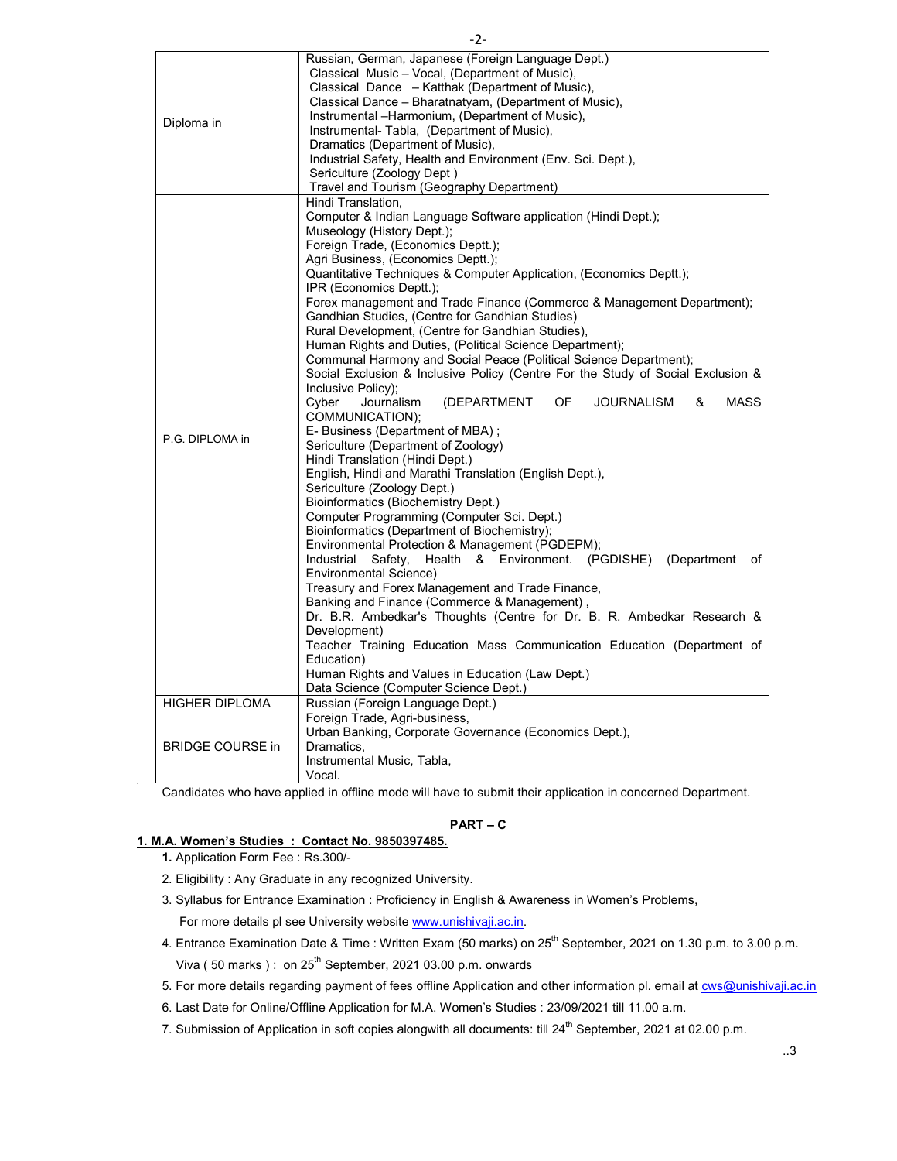| Diploma in              | Russian, German, Japanese (Foreign Language Dept.)<br>Classical Music - Vocal, (Department of Music),<br>Classical Dance - Katthak (Department of Music),<br>Classical Dance – Bharatnatyam, (Department of Music),<br>Instrumental -Harmonium, (Department of Music),<br>Instrumental- Tabla, (Department of Music),<br>Dramatics (Department of Music),<br>Industrial Safety, Health and Environment (Env. Sci. Dept.),<br>Sericulture (Zoology Dept)<br>Travel and Tourism (Geography Department)                                                                                                                                                                                                                                                                                                                                                                                                                                                                                                                                                                                                                                                                                                                                                                                                                                                                                                                                                                                                                                                                                                                                                                                         |
|-------------------------|----------------------------------------------------------------------------------------------------------------------------------------------------------------------------------------------------------------------------------------------------------------------------------------------------------------------------------------------------------------------------------------------------------------------------------------------------------------------------------------------------------------------------------------------------------------------------------------------------------------------------------------------------------------------------------------------------------------------------------------------------------------------------------------------------------------------------------------------------------------------------------------------------------------------------------------------------------------------------------------------------------------------------------------------------------------------------------------------------------------------------------------------------------------------------------------------------------------------------------------------------------------------------------------------------------------------------------------------------------------------------------------------------------------------------------------------------------------------------------------------------------------------------------------------------------------------------------------------------------------------------------------------------------------------------------------------|
| P.G. DIPLOMA in         | Hindi Translation.<br>Computer & Indian Language Software application (Hindi Dept.);<br>Museology (History Dept.);<br>Foreign Trade, (Economics Deptt.);<br>Agri Business, (Economics Deptt.);<br>Quantitative Techniques & Computer Application, (Economics Deptt.);<br>IPR (Economics Deptt.);<br>Forex management and Trade Finance (Commerce & Management Department);<br>Gandhian Studies, (Centre for Gandhian Studies)<br>Rural Development, (Centre for Gandhian Studies),<br>Human Rights and Duties, (Political Science Department);<br>Communal Harmony and Social Peace (Political Science Department);<br>Social Exclusion & Inclusive Policy (Centre For the Study of Social Exclusion &<br>Inclusive Policy);<br><b>MASS</b><br>Cyber<br>Journalism<br>(DEPARTMENT<br>OF<br><b>JOURNALISM</b><br>&<br>COMMUNICATION);<br>E- Business (Department of MBA);<br>Sericulture (Department of Zoology)<br>Hindi Translation (Hindi Dept.)<br>English, Hindi and Marathi Translation (English Dept.),<br>Sericulture (Zoology Dept.)<br>Bioinformatics (Biochemistry Dept.)<br>Computer Programming (Computer Sci. Dept.)<br>Bioinformatics (Department of Biochemistry);<br>Environmental Protection & Management (PGDEPM);<br>Industrial<br>Safety,<br>Health<br>& Environment. (PGDISHE)<br>(Department<br>of<br>Environmental Science)<br>Treasury and Forex Management and Trade Finance,<br>Banking and Finance (Commerce & Management),<br>Dr. B.R. Ambedkar's Thoughts (Centre for Dr. B. R. Ambedkar Research &<br>Development)<br>Teacher Training Education Mass Communication Education (Department of<br>Education)<br>Human Rights and Values in Education (Law Dept.) |
| <b>HIGHER DIPLOMA</b>   | Data Science (Computer Science Dept.)<br>Russian (Foreign Language Dept.)                                                                                                                                                                                                                                                                                                                                                                                                                                                                                                                                                                                                                                                                                                                                                                                                                                                                                                                                                                                                                                                                                                                                                                                                                                                                                                                                                                                                                                                                                                                                                                                                                    |
|                         | Foreign Trade, Agri-business,                                                                                                                                                                                                                                                                                                                                                                                                                                                                                                                                                                                                                                                                                                                                                                                                                                                                                                                                                                                                                                                                                                                                                                                                                                                                                                                                                                                                                                                                                                                                                                                                                                                                |
| <b>BRIDGE COURSE in</b> | Urban Banking, Corporate Governance (Economics Dept.),<br>Dramatics,<br>Instrumental Music, Tabla,<br>Vocal.                                                                                                                                                                                                                                                                                                                                                                                                                                                                                                                                                                                                                                                                                                                                                                                                                                                                                                                                                                                                                                                                                                                                                                                                                                                                                                                                                                                                                                                                                                                                                                                 |
|                         | Candidates who have applied in offline mode will have to submit their application in concerned Department.                                                                                                                                                                                                                                                                                                                                                                                                                                                                                                                                                                                                                                                                                                                                                                                                                                                                                                                                                                                                                                                                                                                                                                                                                                                                                                                                                                                                                                                                                                                                                                                   |

### **PART – C**

# **1. M.A. Women's Studies : Contact No. 9850397485.**

- **1.** Application Form Fee : Rs.300/-
- 2. Eligibility : Any Graduate in any recognized University.
- 3. Syllabus for Entrance Examination : Proficiency in English & Awareness in Women's Problems, For more details pl see University website www.unishivaji.ac.in.
- 4. Entrance Examination Date & Time : Written Exam (50 marks) on 25<sup>th</sup> September, 2021 on 1.30 p.m. to 3.00 p.m. Viva (50 marks): on  $25<sup>th</sup>$  September, 2021 03.00 p.m. onwards
- 5. For more details regarding payment of fees offline Application and other information pl. email at **cws@unishivaji.ac.in**
- 6. Last Date for Online/Offline Application for M.A. Women's Studies : 23/09/2021 till 11.00 a.m.
- 7. Submission of Application in soft copies alongwith all documents: till 24<sup>th</sup> September, 2021 at 02.00 p.m.